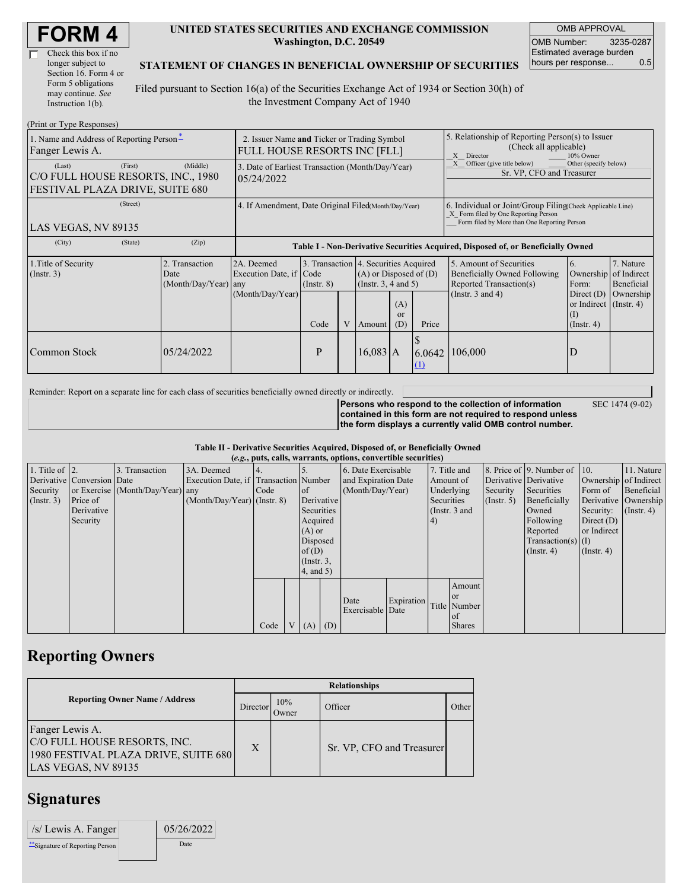| <b>FORM4</b> |
|--------------|
|--------------|

| Check this box if no  |
|-----------------------|
| longer subject to     |
| Section 16. Form 4 or |
| Form 5 obligations    |
| may continue. See     |
| Instruction $1(b)$ .  |

 $(D_{\text{rint}} \text{ or } \text{T}$ yne  $D_{\theta}$ 

#### **UNITED STATES SECURITIES AND EXCHANGE COMMISSION Washington, D.C. 20549**

OMB APPROVAL OMB Number: 3235-0287 Estimated average burden hours per response... 0.5

### **STATEMENT OF CHANGES IN BENEFICIAL OWNERSHIP OF SECURITIES**

Filed pursuant to Section 16(a) of the Securities Exchange Act of 1934 or Section 30(h) of the Investment Company Act of 1940

| $(1 \text{ min of 1 ypc }$ <i>NGSPOIISGS</i><br>1. Name and Address of Reporting Person-<br>Fanger Lewis A. | 2. Issuer Name and Ticker or Trading Symbol<br><b>FULL HOUSE RESORTS INC [FLL]</b> |                                                                                  |                         |   |                                                                                                                            |  | 5. Relationship of Reporting Person(s) to Issuer<br>(Check all applicable)<br>Director<br>X<br>10% Owner                                           |                                                                                                             |                                                                           |                                                               |
|-------------------------------------------------------------------------------------------------------------|------------------------------------------------------------------------------------|----------------------------------------------------------------------------------|-------------------------|---|----------------------------------------------------------------------------------------------------------------------------|--|----------------------------------------------------------------------------------------------------------------------------------------------------|-------------------------------------------------------------------------------------------------------------|---------------------------------------------------------------------------|---------------------------------------------------------------|
| (First)<br>(Last)<br>C/O FULL HOUSE RESORTS, INC., 1980<br>FESTIVAL PLAZA DRIVE, SUITE 680                  | (Middle)                                                                           | 3. Date of Earliest Transaction (Month/Day/Year)<br>05/24/2022                   |                         |   |                                                                                                                            |  |                                                                                                                                                    | Other (specify below)<br>Officer (give title below)<br>Sr. VP, CFO and Treasurer                            |                                                                           |                                                               |
| (Street)<br>LAS VEGAS, NV 89135                                                                             | 4. If Amendment, Date Original Filed(Month/Day/Year)                               |                                                                                  |                         |   |                                                                                                                            |  | 6. Individual or Joint/Group Filing Check Applicable Line)<br>X Form filed by One Reporting Person<br>Form filed by More than One Reporting Person |                                                                                                             |                                                                           |                                                               |
| (City)<br>(State)                                                                                           | (Zip)                                                                              | Table I - Non-Derivative Securities Acquired, Disposed of, or Beneficially Owned |                         |   |                                                                                                                            |  |                                                                                                                                                    |                                                                                                             |                                                                           |                                                               |
| 1. Title of Security<br>$($ Instr. 3 $)$                                                                    | 2. Transaction<br>Date<br>(Month/Day/Year)                                         | 2A. Deemed<br>Execution Date, if Code<br>any<br>(Month/Day/Year)                 | $($ Instr. $8)$<br>Code | V | 3. Transaction 4. Securities Acquired<br>$(A)$ or Disposed of $(D)$<br>(Insert. 3, 4 and 5)<br>(A)<br><sub>or</sub><br>(D) |  | Price                                                                                                                                              | 5. Amount of Securities<br>Beneficially Owned Following<br>Reported Transaction(s)<br>(Instr. $3$ and $4$ ) | 6.<br>Form:<br>Direct $(D)$<br>or Indirect (Instr. 4)<br>$($ Instr. 4 $)$ | 7. Nature<br>Ownership of Indirect<br>Beneficial<br>Ownership |
| Common Stock                                                                                                | 05/24/2022                                                                         |                                                                                  | P                       |   | Amount<br>$16,083$ A                                                                                                       |  | 6.0642<br>$\Omega$                                                                                                                                 | 106,000                                                                                                     | D                                                                         |                                                               |

Reminder: Report on a separate line for each class of securities beneficially owned directly or indirectly.

**Persons who respond to the collection of information contained in this form are not required to respond unless the form displays a currently valid OMB control number.** SEC 1474 (9-02)

**Table II - Derivative Securities Acquired, Disposed of, or Beneficially Owned (***e.g.***, puts, calls, warrants, options, convertible securities)**

|                        | $(0.8)$ pais, cans, was randy operated, convertible securities, |                                  |                                       |      |  |                 |     |                     |            |            |               |                       |                              |                       |                      |
|------------------------|-----------------------------------------------------------------|----------------------------------|---------------------------------------|------|--|-----------------|-----|---------------------|------------|------------|---------------|-----------------------|------------------------------|-----------------------|----------------------|
| 1. Title of $\vert$ 2. |                                                                 | 3. Transaction                   | 3A. Deemed                            | 4.   |  |                 |     | 6. Date Exercisable |            |            | 7. Title and  |                       | 8. Price of 9. Number of 10. |                       | 11. Nature           |
|                        | Derivative Conversion Date                                      |                                  | Execution Date, if Transaction Number |      |  |                 |     | and Expiration Date |            |            | Amount of     | Derivative Derivative |                              | Ownership of Indirect |                      |
| Security               |                                                                 | or Exercise (Month/Day/Year) any |                                       | Code |  | of              |     | (Month/Day/Year)    |            |            | Underlying    | Security              | Securities                   | Form of               | Beneficial           |
| $($ Instr. 3 $)$       | Price of                                                        |                                  | $(Month/Day/Year)$ (Instr. 8)         |      |  | Derivative      |     |                     |            | Securities |               | $($ Instr. 5)         | Beneficially                 |                       | Derivative Ownership |
|                        | Derivative                                                      |                                  |                                       |      |  | Securities      |     |                     |            |            | (Instr. 3 and |                       | Owned                        | Security:             | $($ Instr. 4)        |
|                        | Security                                                        |                                  |                                       |      |  | Acquired        |     |                     |            | 4)         |               |                       | Following                    | Direct $(D)$          |                      |
|                        |                                                                 |                                  |                                       |      |  | $(A)$ or        |     |                     |            |            |               |                       | Reported                     | or Indirect           |                      |
|                        |                                                                 |                                  |                                       |      |  | Disposed        |     |                     |            |            |               |                       | $Transaction(s)$ (I)         |                       |                      |
|                        |                                                                 |                                  |                                       |      |  | of(D)           |     |                     |            |            |               |                       | $($ Instr. 4)                | $($ Instr. 4 $)$      |                      |
|                        |                                                                 |                                  |                                       |      |  | $($ Instr. $3,$ |     |                     |            |            |               |                       |                              |                       |                      |
|                        |                                                                 |                                  |                                       |      |  | $4$ , and $5$ ) |     |                     |            |            |               |                       |                              |                       |                      |
|                        |                                                                 |                                  |                                       |      |  |                 |     |                     |            |            | Amount        |                       |                              |                       |                      |
|                        |                                                                 |                                  |                                       |      |  |                 |     |                     |            |            | <sub>or</sub> |                       |                              |                       |                      |
|                        |                                                                 |                                  |                                       |      |  |                 |     | Date                | Expiration |            | Title Number  |                       |                              |                       |                      |
|                        |                                                                 |                                  |                                       |      |  |                 |     | Exercisable Date    |            |            | of            |                       |                              |                       |                      |
|                        |                                                                 |                                  |                                       | Code |  | V(A)            | (D) |                     |            |            | <b>Shares</b> |                       |                              |                       |                      |
|                        |                                                                 |                                  |                                       |      |  |                 |     |                     |            |            |               |                       |                              |                       |                      |

# **Reporting Owners**

|                                                                                                                | <b>Relationships</b> |              |                           |         |  |  |  |  |
|----------------------------------------------------------------------------------------------------------------|----------------------|--------------|---------------------------|---------|--|--|--|--|
| <b>Reporting Owner Name / Address</b>                                                                          | Director             | 10%<br>Owner | Officer                   | Other I |  |  |  |  |
| Fanger Lewis A.<br>C/O FULL HOUSE RESORTS, INC.<br>1980 FESTIVAL PLAZA DRIVE, SUITE 680<br>LAS VEGAS, NV 89135 | X                    |              | Sr. VP, CFO and Treasurer |         |  |  |  |  |

# **Signatures**

| $\sqrt{s}$ Lewis A. Fanger      | 05/26/2022 |  |
|---------------------------------|------------|--|
| **Signature of Reporting Person | Date       |  |